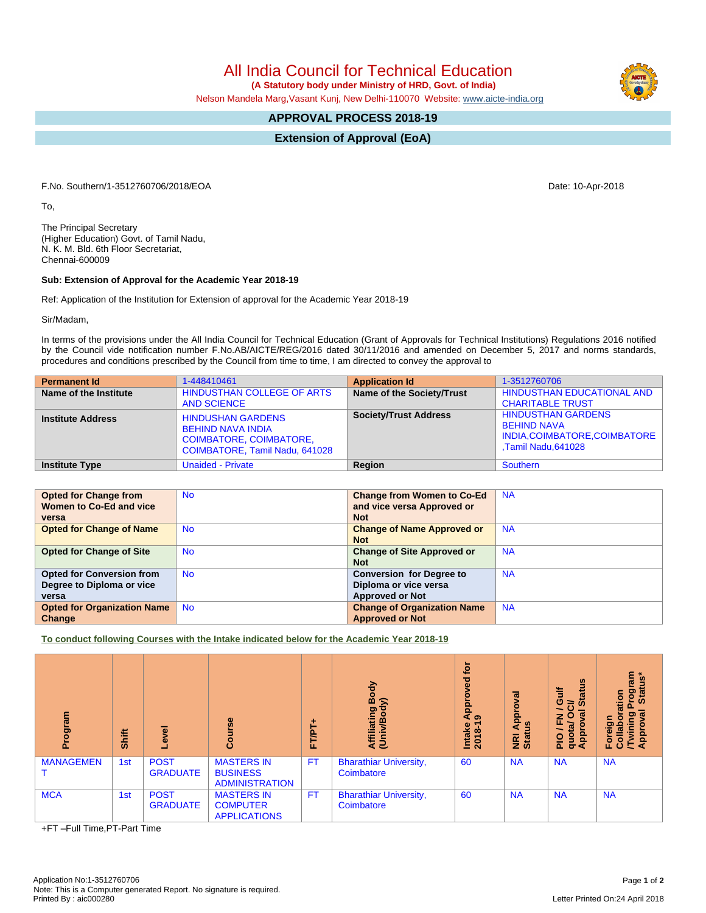All India Council for Technical Education

 **(A Statutory body under Ministry of HRD, Govt. of India)**

Nelson Mandela Marg,Vasant Kunj, New Delhi-110070 Website: [www.aicte-india.org](http://www.aicte-india.org)

## **APPROVAL PROCESS 2018-19**

**Extension of Approval (EoA)**

F.No. Southern/1-3512760706/2018/EOA Date: 10-Apr-2018

To,

The Principal Secretary (Higher Education) Govt. of Tamil Nadu, N. K. M. Bld. 6th Floor Secretariat, Chennai-600009

## **Sub: Extension of Approval for the Academic Year 2018-19**

Ref: Application of the Institution for Extension of approval for the Academic Year 2018-19

Sir/Madam,

In terms of the provisions under the All India Council for Technical Education (Grant of Approvals for Technical Institutions) Regulations 2016 notified by the Council vide notification number F.No.AB/AICTE/REG/2016 dated 30/11/2016 and amended on December 5, 2017 and norms standards, procedures and conditions prescribed by the Council from time to time, I am directed to convey the approval to

| <b>Permanent Id</b>      | 1-448410461                                                                                                              | <b>Application Id</b>        | 1-3512760706                                                                                           |
|--------------------------|--------------------------------------------------------------------------------------------------------------------------|------------------------------|--------------------------------------------------------------------------------------------------------|
| Name of the Institute    | HINDUSTHAN COLLEGE OF ARTS<br><b>AND SCIENCE</b>                                                                         | Name of the Society/Trust    | <b>HINDUSTHAN EDUCATIONAL AND</b><br><b>CHARITABLE TRUST</b>                                           |
| <b>Institute Address</b> | <b>HINDUSHAN GARDENS</b><br><b>BEHIND NAVA INDIA</b><br><b>COIMBATORE, COIMBATORE,</b><br>COIMBATORE, Tamil Nadu, 641028 | <b>Society/Trust Address</b> | <b>HINDUSTHAN GARDENS</b><br><b>BEHIND NAVA</b><br>INDIA, COIMBATORE, COIMBATORE<br>Tamil Nadu, 641028 |
| <b>Institute Type</b>    | <b>Unaided - Private</b>                                                                                                 | Region                       | Southern                                                                                               |

| <b>Opted for Change from</b>       | <b>No</b> | <b>Change from Women to Co-Ed</b>  | <b>NA</b> |
|------------------------------------|-----------|------------------------------------|-----------|
| Women to Co-Ed and vice            |           | and vice versa Approved or         |           |
| versa                              |           | <b>Not</b>                         |           |
| <b>Opted for Change of Name</b>    | <b>No</b> | <b>Change of Name Approved or</b>  | <b>NA</b> |
|                                    |           | <b>Not</b>                         |           |
| <b>Opted for Change of Site</b>    | <b>No</b> | <b>Change of Site Approved or</b>  | <b>NA</b> |
|                                    |           | <b>Not</b>                         |           |
| <b>Opted for Conversion from</b>   | <b>No</b> | <b>Conversion for Degree to</b>    | <b>NA</b> |
| Degree to Diploma or vice          |           | Diploma or vice versa              |           |
| versa                              |           | <b>Approved or Not</b>             |           |
| <b>Opted for Organization Name</b> | <b>No</b> | <b>Change of Organization Name</b> | <b>NA</b> |
| Change                             |           | <b>Approved or Not</b>             |           |

**To conduct following Courses with the Intake indicated below for the Academic Year 2018-19**

| Program          | <b>Shift</b> | g<br>φ                         | $\frac{6}{5}$<br>ပိ                                           | ۰.<br><b>FT/PT</b> | Body<br>Affiliating Book<br>(Univ/Body)     | è<br>್ಥಾ<br>ၑ<br>윤<br>ৰ<br>$\bullet$<br>Intake<br>2018-1 | हु<br>ջ<br><b>Appi</b><br>9<br><b>E</b> ät | $\boldsymbol{\omega}$<br>Ë<br>ĩ.<br>ပ<br>≃<br><b>in</b><br>ത<br>O<br>준<br>quota/<br>Appro<br>$\frac{1}{2}$ | $\lim$<br>$\ddot{\mathbf{s}}^*$<br>State<br>Dogi<br>F<br>oration<br>্ত<br>୭<br>Foreign<br>Collabor<br><b>Twir</b><br>Appr |
|------------------|--------------|--------------------------------|---------------------------------------------------------------|--------------------|---------------------------------------------|----------------------------------------------------------|--------------------------------------------|------------------------------------------------------------------------------------------------------------|---------------------------------------------------------------------------------------------------------------------------|
| <b>MANAGEMEN</b> | 1st          | <b>POST</b><br><b>GRADUATE</b> | <b>MASTERS IN</b><br><b>BUSINESS</b><br><b>ADMINISTRATION</b> | <b>FT</b>          | <b>Bharathiar University,</b><br>Coimbatore | 60                                                       | <b>NA</b>                                  | <b>NA</b>                                                                                                  | <b>NA</b>                                                                                                                 |
| <b>MCA</b>       | 1st          | <b>POST</b><br><b>GRADUATE</b> | <b>MASTERS IN</b><br><b>COMPUTER</b><br><b>APPLICATIONS</b>   | <b>FT</b>          | <b>Bharathiar University,</b><br>Coimbatore | 60                                                       | <b>NA</b>                                  | <b>NA</b>                                                                                                  | <b>NA</b>                                                                                                                 |

+FT –Full Time,PT-Part Time